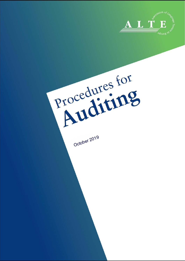

Procedures for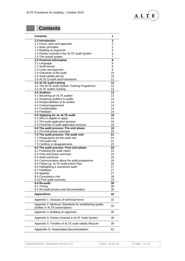

# **Contents**

| <b>Contents</b>                                                                         | 1              |
|-----------------------------------------------------------------------------------------|----------------|
| <b>1.0 Introduction</b>                                                                 | 2              |
| 1.1 Focus, aims and approach                                                            | $\overline{c}$ |
| 1.2 Basic principles                                                                    | $\overline{c}$ |
| 1.3 Building an argument                                                                | 4              |
| 1.4 Parties involved in the ALTE Audit System                                           | 6              |
| 1.5 The overall system                                                                  | 7              |
| 2.0 Practical information                                                               | 9              |
| 2.1 Language                                                                            | 9              |
| 2.2 Audit format                                                                        | 9              |
| 2.3 Costs and payment                                                                   | 9              |
| 2.4 Outcomes of the audit                                                               | 10<br>10       |
| 2.5 Audit validity period<br>2.6 ALTE Q-mark and Framework                              | 11             |
| 3.0 ALTE audit training                                                                 | 12             |
| 3.1 The ALTE Audit System Training Programme                                            | 12             |
| 3.2 ALTE auditor training                                                               | 12             |
| <b>4.0 Auditors</b>                                                                     | 13             |
| 4.1 Becoming an ALTE auditor                                                            | 13             |
| 4.2 Assigning auditors to audits                                                        | 13             |
| 4.3 Responsibilities of an auditor                                                      | 14             |
| 4.4 Contract/agreement                                                                  | 14             |
| 4.5 Confidentiality                                                                     | 14             |
| 4.6 Feedback                                                                            | 15             |
| 5.0 Applying for an ALTE audit                                                          | 16             |
| 5.1 Who is eligible to apply                                                            | 16             |
| 5.2 The audit application process                                                       | 16             |
| 5.3 Flowchart of audit application process                                              | 18             |
| 6.0 The audit process: Pre-visit phase                                                  | 19             |
| 6.1 Pre-visit phase summary                                                             | 20             |
| 7.0 The audit process: The audit visit                                                  | 21             |
| 7.1 Preparations for the audit visit                                                    | 21             |
| 7.2 The audit visit                                                                     | 21             |
| 7.3 Conflicts or disagreements                                                          | 22             |
| 8.0 The audit process: Post-visit phase                                                 | 23             |
| 8.1 Finalising the audit report                                                         | 23             |
| 8.2 Post-visit phase summary                                                            | 24             |
| 8.3 Audit outcomes                                                                      | 25             |
| 8.4 Communication about the audit programme                                             | 26             |
| 8.5 Follow-up: ALTE Audit Action Plan                                                   | 26             |
| 8.6 Highlighting a successful audit<br>8.7 Feedback                                     | 27             |
|                                                                                         | 27             |
| 8.8 Appeals<br>8.9 Consultancy role                                                     | 27<br>28       |
| 8.10 Post audit summary                                                                 | 29             |
| 9.0 Re-audit                                                                            | 30             |
| 9.1 Timing                                                                              | 30             |
| 9.2 Re-audit process and documentation                                                  | 30             |
| <b>Appendices</b>                                                                       | 32             |
| Appendix 1: Glossary of technical terms                                                 | 32             |
| Appendix 2: Minimum Standards for establishing quality<br>profiles in ALTE examinations | 33             |
| Appendix 3: Building an argument                                                        | 35             |
| Appendix 4: Parties involved in ALTE Audit System                                       | 36             |
| Appendix 5: Timeline of ALTE audit validity lifecycle                                   | 39             |
| Appendix 6: Associated documentation                                                    | 41             |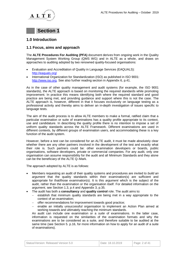



### **1.0 Introduction**

### **1.1 Focus, aims and approach**

The **ALTE Procedures For Auditing (PFA)** document derives from ongoing work in the Quality Management System Working Group (QMS WG) and in ALTE as a whole, and draws on approaches to auditing adopted by two renowned quality-focused organisations:

- Evaluation and Accreditation of Quality in Language Services (EAQUALS): <http://eaquals.org/>
- International Organization for Standardization (ISO) as published in ISO 9001: [http://www.iso.org.](http://www.iso.org/) See also further reading section in Appendix 6, p.41.

As in the case of other quality management and audit systems (for example, the ISO 9001 standards), the ALTE approach is based on monitoring the required standards while promoting improvement. In practice this means identifying both where the required standard and good practice are being met, and providing guidance and support where this is not the case. The ALTE approach is, however, different in that it focuses exclusively on language testing as a professional activity and thereby aims to deliver an in-depth investigation of issues specific to language tests.

The aim of the audit process is to allow ALTE members to make a formal, ratified claim that a particular examination or suite of examinations has a quality profile appropriate to its context, use and candidature. In describing the quality profile there is no intention to impose a set of uniform quality standards across the ALTE Framework. Different examinations are used in different contexts, by different groups of examination users, and accommodating these is a key function of the audit system.

However, before a test can be considered for an ALTE audit, it must be made absolutely clear whether there are any other partners involved in the development of the test and exactly what their role is. Such partners could be: other examination developers or boards, public organisations, software developers, private or commercial companies. For any audit, only one organisation can assume responsibility for the audit and all Minimum Standards and they alone can be the beneficiary of the ALTE Q–Mark.

The approach adopted by ALTE is as follows:

- Members requesting an audit of their quality systems and procedures are invited to *build an argument* that the quality standards within their examination(s) are sufficient and appropriate for that/those examination(s). It is this *argument* which is the subject of the audit, rather than the examination or the organisation itself. For detailed information on the *argument*, see Section 1.3, p.4 and Appendix 3, p.35.
- The audit has both a **consultancy** and **quality control** role. The audit aims to:
	- establish that minimum quality standards are being met in a way appropriate to the context of an examination;
	- offer recommendations for improvement towards good practice;
	- enable an initially unsuccessful organisation to implement an Action Plan aimed at working towards and ultimately reaching the minimum standards.

An audit can include one examination or a *suite* of examinations. In the latter case, information is requested on the similarities of the examination formats and why the examinations are to be considered as a suite, and therefore suitable to be audited at the same time (see Section 5. p.16, for more information on how to apply for an audit of a suite of examinations).

| Status/Version: Released Version 5.0 | Date: 18.10.2019 | $\vert$ Page: 2 of 41 |
|--------------------------------------|------------------|-----------------------|
|--------------------------------------|------------------|-----------------------|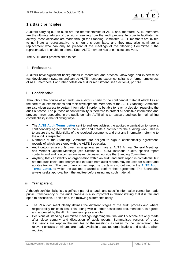

# **1.2 Basic principles**

Auditors carrying out an audit are the representatives of ALTE and, therefore, ALTE members are the ultimate arbiters of decisions resulting from the audit process. In order to facilitate this activity, these decisions are made through the Standing Committee. ALTE members are invited to nominate a representative to sit on this committee, and they may also nominate a replacement who can only be present at the meetings of the Standing Committee if the representative is unable to attend. Each ALTE member has one institutional vote.

The ALTE audit process aims to be:

### **i. Professional:**

Auditors have significant backgrounds in theoretical and practical knowledge and expertise of test development systems and can be ALTE members, expert consultants or former employees of ALTE members. For further details on auditor recruitment, see Section 4, pp.13-15.

### **ii. Confidential:**

Throughout the course of an audit, an auditor is party to the confidential material which lies at the core of all examinations and their development. Members of the ALTE Standing Committee are also given access to certain information in order to be able to reach a decision regarding the audit outcome. The purpose of confidentiality is therefore to protect all sensitive information and prevent it from appearing in the public domain. ALTE aims to reassure auditees by maintaining confidentiality in the following ways:

- The **ALTE Audit Terms Letter** sent to auditees advises the audited organisation to issue a confidentiality agreement to the auditor and create a contract for the auditing work. This is to ensure the confidentiality of the received documents and that any information referring to the audit is respected;
- Members of the Standing Committee are obliged to sign a confidentiality agreement, records of which are stored with the ALTE Secretariat;
- Audit outcomes are only given as a general summary at ALTE Annual General Meetings and Member Update Meetings (see Section 8.3, p.25); individual audits, specific report contents and audit outcomes are never discussed outside the Standing Committee;
- Anything that can identify an organisation within an audit and audit report is confidential but not the audit itself, and anonymised extracts from audit reports may be used for auditor and auditee training. The use of anonymised report extracts is also outlined in the **ALTE Audit Terms Letter,** to which the auditee is asked to confirm their agreement. The Secretariat always seeks approval from the auditee before using any such material.

### **iii. Transparent:**

Although confidentiality is a significant part of an audit and specific information cannot be made public, transparency of the audit process is also important in demonstrating that it is fair and open to discussion. To this end, the following statements apply:

- The PFA document clearly defines the different stages of the audit process and where responsibility for each lies. This, along with all other associated documentation, is agreed and approved by the ALTE membership as a whole.
- Decisions at Standing Committee meetings regarding the final audit outcome are only made after close scrutiny and discussion of audit reports. Summarised records of these discussions are kept in the minutes of the meetings as taken by the Secretariat. The relevant extracts of minutes are made available to audited organisations and auditors when required.

| Status/Version: Released Version 5.0 | Date: 18.10.19 | $\vert$ Page: 3 of 41 |
|--------------------------------------|----------------|-----------------------|
|--------------------------------------|----------------|-----------------------|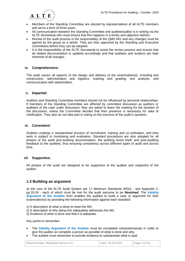

- Members of the Standing Committee are elected by representatives of all ALTE members and serve a term of three years.
- All communication between the Standing Committee and auditee/auditor is in writing via the ALTE Secretariat who must ensure that this happens in a timely and objective fashion.
- Review of the audit process is the responsibility of the QMS WG and any changes must be agreed by the group as a whole. They are then approved by the Standing and Executive Committees before they can be adopted.
- It is the responsibility of the ALTE Secretariat to assist the review process and ensure that all related documentation is updated accordingly and that auditees and auditors are kept informed of all changes.

### **iv. Comprehensive:**

The audit covers all aspects of the design and delivery of the examination(s), including test construction, administration and logistics, marking and grading, test analysis, and communication with stakeholders.

#### **v. Impartial:**

Auditors and Standing Committee members should not be influenced by personal relationships. If members of the Standing Committee are affected by committee discussion as auditors or auditees of the case under discussion, they are asked to leave the meeting for the duration of the discussion, unless the Committee decides that their presence is necessary for sake of clarification. They also do not take part in voting on the outcome of the audit in question.

#### **vi. Consistent:**

Auditors undergo a standardised process of recruitment, training and co-ordination, and their work is subject to monitoring and evaluation. Standard procedures are also adopted for all phases of the audit (pre-auditing documentation, the auditing event itself, and post-auditing feedback to the auditee), thus ensuring consistency across different types of audit and across time.

### **vii. Supportive:**

All phases of the audit are designed to be supportive of the auditee and respectful of the auditor.

### **1.3 Building an argument**

At the core of the ALTE Audit System are 17 Minimum Standards (MSs) - see Appendix 2, pp.33-34 - each of which must be met for the audit outcome to be *Resolved*. The **Validity Argument of the Auditee** form enables the auditee to build a case or argument for their examination(s) by providing the following information against each standard:

- 1) A description of what is done to meet the MS.
- 2) A description of why doing this adequately addresses the MS.
- 3) Evidence of what is done and that it is adequate.

Key points to remember:

- The **Validity Argument of the Auditee** must be completed comprehensively in order to give the auditor as complete a picture as possible of what is done and why.
- The auditee must remember to provide evidence to substantiate what is said.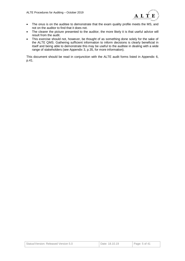

- The onus is on the auditee to demonstrate that the exam quality profile meets the MS, and not on the auditor to find that it does not.
- The clearer the picture presented to the auditor, the more likely it is that useful advice will result from the audit.
- This exercise should not, however, be thought of as something done solely for the sake of the ALTE QMS. Gathering sufficient information to inform decisions is clearly beneficial in itself and being able to demonstrate this may be useful to the auditee in dealing with a wide range of stakeholders (see Appendix 3, p.35, for more information).

This document should be read in conjunction with the ALTE audit forms listed in Appendix 6, p.41.

| Status/Version: Released Version 5.0 | Date: 18.10.19 | $\vert$ Page: 5 of 41 |
|--------------------------------------|----------------|-----------------------|
|--------------------------------------|----------------|-----------------------|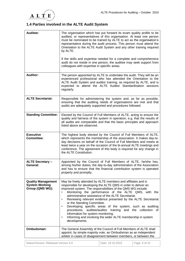

# **1.4 Parties involved in the ALTE Audit System**

| Auditee:                                                                                                                                                                                                                | The organisation which has put forward its exam quality profile to be<br>audited, or representatives of this organisation. At least one person<br>must be nominated to be trained by ALTE to act as the organisation's<br>representative during the audit process. This person must attend the<br>Orientation to the ALTE Audit System and any other training required<br>by ALTE.<br>If the skills and expertise needed for a complete and comprehensive<br>audit do not reside in one person, the auditee may seek support from<br>colleagues with expertise in specific areas.                                                                                                         |  |  |
|-------------------------------------------------------------------------------------------------------------------------------------------------------------------------------------------------------------------------|-------------------------------------------------------------------------------------------------------------------------------------------------------------------------------------------------------------------------------------------------------------------------------------------------------------------------------------------------------------------------------------------------------------------------------------------------------------------------------------------------------------------------------------------------------------------------------------------------------------------------------------------------------------------------------------------|--|--|
| <b>Auditor:</b>                                                                                                                                                                                                         | The person appointed by ALTE to undertake the audit. They will be an<br>experienced professional who has attended the Orientation to the<br>ALTE Audit System and auditor training, as required by ALTE, and is<br>expected to attend the ALTE Auditor Standardisation sessions<br>regularly.                                                                                                                                                                                                                                                                                                                                                                                             |  |  |
| <b>ALTE Secretariat:</b>                                                                                                                                                                                                | Responsible for administering the system and, as far as possible,<br>ensuring that the auditing needs of organisations are met and that<br>audits are adequately supported and procedures followed.                                                                                                                                                                                                                                                                                                                                                                                                                                                                                       |  |  |
| <b>Standing Committee:</b>                                                                                                                                                                                              | Elected by the Council of Full Members of ALTE, acting to ensure the<br>quality and fairness of the system in operation, e.g. that the results of<br>all audits are comparable and that the basic principles and approach<br>listed above are observed.                                                                                                                                                                                                                                                                                                                                                                                                                                   |  |  |
| <b>Executive</b><br><b>Committee:</b>                                                                                                                                                                                   | The highest body elected by the Council of Full Members of ALTE,<br>which represents the membership of the association. It makes day-to-<br>day decisions on behalf of the Council of Full Members and meets at<br>least twice a year on the occasion of the bi-annual ALTE meetings and<br>conference. The agreement of this body is required for any change in<br>the ALTE Constitution.                                                                                                                                                                                                                                                                                                |  |  |
| <b>ALTE Secretary -</b><br>General:                                                                                                                                                                                     | Appointed by the Council of Full Members of ALTE, he/she has,<br>among his/her duties, the day-to-day administration of the Association<br>and has to ensure that the financial contribution system is operated<br>properly and promptly.                                                                                                                                                                                                                                                                                                                                                                                                                                                 |  |  |
| <b>Quality Management</b><br><b>System Working</b><br>Group (QMS WG):                                                                                                                                                   | May be freely attended by ALTE members and affiliates and is<br>responsible for developing the ALTE QMS in order to deliver an<br>improved system. The responsibilities of the QMS WG include:<br>Monitoring the performance of the ALTE QMS, with the<br>administrative assistance of the ALTE Secretariat.<br>Reviewing relevant evidence presented by the ALTE Secretariat<br>or the Standing Committee.<br>Developing specific areas of the system, such as auditing<br>$\bullet$<br>procedures, auditee/auditor training and the collection<br>0f<br>information for system monitoring.<br>Informing and involving the wider ALTE membership in system<br>$\bullet$<br>developments. |  |  |
| Ombudsman:<br>The General Assembly of the Council of Full Members of ALTE shall<br>appoint, by simple majority vote, an Ombudsman as an independent<br>arbiter in cases of disagreement between members, or between the |                                                                                                                                                                                                                                                                                                                                                                                                                                                                                                                                                                                                                                                                                           |  |  |
| Status/Version: Released Version 5.0                                                                                                                                                                                    | Page: 6 of 41<br>Date: 18.10.2019                                                                                                                                                                                                                                                                                                                                                                                                                                                                                                                                                                                                                                                         |  |  |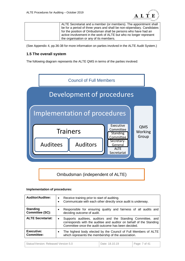

| ALTE Secretariat and a member (or members). The appointment shall<br>be for a period of three years and shall be non-stipendiary. Candidates<br>for the position of Ombudsman shall be persons who have had an<br>active involvement in the work of ALTE but who no longer represent |
|--------------------------------------------------------------------------------------------------------------------------------------------------------------------------------------------------------------------------------------------------------------------------------------|
| the organisation or any of its members.                                                                                                                                                                                                                                              |

(See Appendix 4, pp.36-38 for more information on parties involved in the ALTE Audit System.)

## **1.5 The overall system**

The following diagram represents the ALTE QMS in terms of the parties involved:



Ombudsman (independent of ALTE)

### **Implementation of procedures:**

| <b>Auditor/Auditee:</b>            | Receive training prior to start of auditing.<br>$\bullet$<br>Communicate with each other directly once audit is underway.<br>$\bullet$                                                       |
|------------------------------------|----------------------------------------------------------------------------------------------------------------------------------------------------------------------------------------------|
| <b>Standing</b><br>Committee (SC): | Responsible for ensuring quality and fairness of all audits and<br>$\bullet$<br>deciding outcome of audit.                                                                                   |
| <b>ALTE Secretariat:</b>           | Supports auditees, auditors and the Standing Committee, and<br>٠<br>corresponds with the auditee and auditor on behalf of the Standing<br>Committee once the audit outcome has been decided. |
| Executive:<br><b>Committee:</b>    | The highest body elected by the Council of Full Members of ALTE<br>$\bullet$<br>which represents the membership of the association.                                                          |

| Status/Version: Released Version 5.0 | Date: 18.10.19 | $\vert$ Page: 7 of 41 |
|--------------------------------------|----------------|-----------------------|
|--------------------------------------|----------------|-----------------------|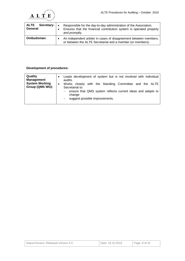

| <b>ALTE</b>    | Responsible for the day-to-day administration of the Association.                                                              |
|----------------|--------------------------------------------------------------------------------------------------------------------------------|
| Secretary-   • | Ensures that the financial contribution system is operated properly                                                            |
| General:       | and promptly.                                                                                                                  |
| Ombudsman:     | An independent arbiter in cases of disagreement between members,<br>or between the ALTE Secretariat and a member (or members). |

# **Development of procedures:**

| Quality<br><b>Management</b><br><b>System Working</b> | Leads development of system but is not involved with individual<br>audits.<br>Works closely with the Standing Committee and the ALTE<br>$\bullet$ |
|-------------------------------------------------------|---------------------------------------------------------------------------------------------------------------------------------------------------|
| Group (QMS WG):                                       | Secretariat to:<br>ensure that QMS system reflects current ideas and adapts to<br>change                                                          |
|                                                       | suggest possible improvements.                                                                                                                    |

| Status/Version: Released Version 5.0 | Date: 18.10.2019 | $\vert$ Page: 8 of 41 |
|--------------------------------------|------------------|-----------------------|
|--------------------------------------|------------------|-----------------------|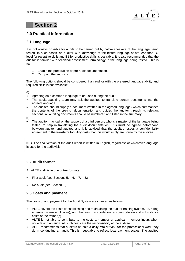

# **Section 2**

# **2.0 Practical information**

## **2.1 Language**

It is not always possible for audits to be carried out by native speakers of the language being tested. In such cases, an auditor with knowledge of the tested language at not less than B2 level for receptive skills and B1 for productive skills is desirable. It is also recommended that the auditor is familiar with technical assessment terminology in the language being tested. This is to:

- 1. Enable the preparation of pre-audit documentation.
- 2. Carry out the audit visit.

The following options should be considered if an auditor with the preferred language ability and required skills is not available:

a)

- Agreeing on a common language to be used during the audit.
- The auditor/auditing team may ask the auditee to translate certain documents into the agreed language.
- The auditee should supply a document (written in the agreed language) which summarises the contents of the pre-visit documentation and guides the auditor through its relevant sections; all auditing documents should be numbered and listed in the summary.
- b)
- The auditor may call on the support of a third person, who is a master of the language being tested, to help in translating the audit documentation. This must be agreed beforehand between auditor and auditee and it is advised that the auditee issues a confidentiality agreement to the translator too. Any costs that this would imply are borne by the auditee.

**N.B.** The final version of the audit report is written in English, regardless of whichever language is used for the audit visit.

# **2.2 Audit format**

An ALTE audit is in one of two formats:

- First audit (see Sections  $5. 6. 7. 8.$ )
- Re-audit (see Section 9.)

## **2.3 Costs and payment**

The costs of and payment for the Audit System are covered as follows:

- ALTE covers the costs of establishing and maintaining the auditor training system, i.e. hiring a venue (where applicable), and the fees, transportation, accommodation and subsistence costs of the trainer(s).
- ALTE is not able to contribute to the costs a member or applicant member incurs when undertaking an audit. All such costs are the responsibility of the auditee.
- ALTE recommends that auditors be paid a daily rate of €350 for the professional work they do in conducting an audit. This is negotiable to reflect local payment scales. The audited

| Status/Version: Released Version 5.0 | Date: 18.10.19 | $\vert$ Page: 9 of 41 |
|--------------------------------------|----------------|-----------------------|
|--------------------------------------|----------------|-----------------------|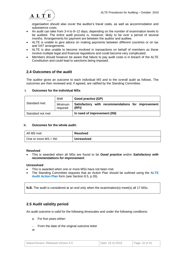

organisation should also cover the auditor's travel costs, as well as accommodation and subsistence costs.

- An audit can take from 3-4 to 8–12 days, depending on the number of examination levels to be audited. The entire audit process is, however, likely to be over a period of several months. Arrangements for payment are between the auditor and auditee.
- ALTE is unable to give advice on making payments between different countries or on tax and VAT arrangements.
- ALTE is also unable to become involved in transactions on behalf of members as these involve multiple legal and financial regulations and could become very complicated.
- Members should however be aware that failure to pay audit costs is in breach of the ALTE Constitution and could lead to sanctions being imposed.

# **2.4 Outcomes of the audit**

The auditor gives an outcome to each individual MS and to the overall audit as follows. The outcomes are then reviewed and, if agreed, are ratified by the Standing Committee.

#### **i. Outcomes for the individual MSs**

| Standard met:     | Well                | Good practice (GP)                                         |  |
|-------------------|---------------------|------------------------------------------------------------|--|
|                   | Minimum<br>required | Satisfactory with recommendations for improvement<br>(RFI) |  |
| Standard not met: |                     | In need of improvement (INI)                               |  |

#### **ii. Outcomes for the whole audit:**

| All MS met:              | <b>Resolved</b>   |
|--------------------------|-------------------|
| One or more $MS = INI$ : | <b>Unresolved</b> |

### **Resolved**

 This is awarded when all MSs are found to be *Good practice* and/or *Satisfactory with recommendations for improvement*.

#### **Unresolved**

- This is awarded when one or more MSs have not been met.
- The Standing Committee requests that an Action Plan should be outlined using the **ALTE Audit Action Plan** form (see Section 8.5, p.26).

**N.B.** The audit is considered at an end only when the examination(s) meet(s) all 17 MSs.

## **2.5 Audit validity period**

An audit outcome is valid for the following timescales and under the following conditions:

- a. For five years either:
- From the date of the original outcome letter
- or

| Status/Version: Released Version 5.0 | Date: 18.10.2019 | Page: 10 of 41 |
|--------------------------------------|------------------|----------------|
|--------------------------------------|------------------|----------------|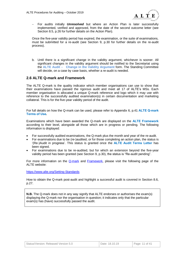

 For audits initially *Unresolved* but where an Action Plan is later successfully implemented, verified and approved, from the date of the second outcome letter (see Section 8.5, p.26 for further details on the Action Plan).

Once the five-year validity period has expired, the examination, or the suite of examinations, must be submitted for a re-audit (see Section 9, p.30 for further details on the re-audit process).

b. Until there is a significant change in the validity argument, whichever is sooner. All significant changes in the validity argument should be notified to the Secretariat using the **ALTE Audit** – **Change in the Validity Argument** form. The Standing Committee will decide, on a case by case basis, whether a re-audit is needed.

### **2.6 ALTE Q-mark and Framework**

The ALTE Q-mark is the quality indicator which member organisations can use to show that their examinations have passed the rigorous audit and meet all 17 of ALTE's MSs. Each member organisation is allocated a unique Q-mark reference and logo which it may use with reference to the successfully audited examination(s) in certain documentation and marketing collateral. This is for the five-year validity period of the audit.

For full details on how the Q-mark can be used, please refer to Appendix 6, p.41 **ALTE Q-mark Terms of Use***.*

Examinations which have been awarded the Q-mark are displayed on the **ALTE Framework** according to their level, alongside all those which are in progress or pending. The following information is displayed:

- For successfully audited examinations, the Q-mark plus the month and year of the re-audit.
- For examinations due to be (re-)audited, or for those completing an action plan, the status is '(Re-)Audit in progress'. This status is granted once the **ALTE Audit Terms Letter** has been signed.
- For examinations due to be re-audited, but for which an extension beyond the five-year validity period has been granted (see Section 9, p.30), the status is "Re-audit pending".

For more information on the [Q-mark](https://www.alte.org/resources/Documents/Guide%20to%20the%20Q%20Mark.pdf) and [Framework,](https://www.alte.org/resources/Documents/2018-05-15%20ALTE%20Framework%20v24.pdf) please visit the following page of the ALTE website:

### <https://www.alte.org/Setting-Standards>

How to obtain the Q-mark post-audit and highlight a successful audit is covered in Section 8.6, p.27.

**N.B.** The Q-mark does not in any way signify that ALTE endorses or authorises the exam(s) displaying the Q-mark nor the organisation in question; it indicates only that the particular exam(s) has (have) successfully passed the audit.

| Status/Version: Released Version 5.0 | Date: 18.10.19 | $\vert$ Page: 11 of 41 |
|--------------------------------------|----------------|------------------------|
|--------------------------------------|----------------|------------------------|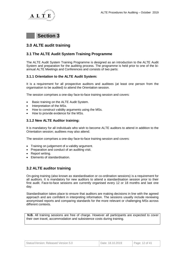

# **Section 3**

# **3.0 ALTE audit training**

### **3.1 The ALTE Audit System Training Programme**

The ALTE Audit System Training Programme is designed as an introduction to the ALTE Audit System and preparation for the auditing process. The programme is held prior to one of the biannual ALTE Meetings and Conferences and consists of two parts:

### **3.1.1 Orientation to the ALTE Audit System:**

It is a requirement for all prospective auditors and auditees (at least one person from the organisation to be audited) to attend the Orientation session.

The session comprises a one-day face-to-face training session and covers:

- Basic training on the ALTE Audit System.
- Interpretation of the MSs.
- How to construct validity arguments using the MSs.
- How to provide evidence for the MSs.

### **3.1.2 New ALTE Auditor training:**

It is mandatory for all individuals who wish to become ALTE auditors to attend in addition to the Orientation session; auditees may also attend.

The session comprises a one-day face-to-face training session and covers:

- Training on judgement of a validity argument.
- Preparation and conduct of an auditing visit.
- Report writing.
- Elements of standardisation.

## **3.2 ALTE auditor training**

On-going training (also known as standardisation or co-ordination sessions) is a requirement for all auditors. It is mandatory for new auditors to attend a standardisation session prior to their first audit. Face-to-face sessions are currently organised every 12 or 18 months and last one day.

Standardisation takes place to ensure that auditors are making decisions in line with the agreed approach and are confident in interpreting information. The sessions usually include reviewing anonymised reports and comparing standards for the more relevant or challenging MSs across different contexts.

**N.B.** All training sessions are free of charge. However all participants are expected to cover their own travel, accommodation and subsistence costs during training.

| Status/Version: Released Version 5.0 |  |  |
|--------------------------------------|--|--|
|--------------------------------------|--|--|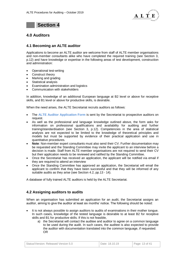



# **4.0 Auditors**

### **4.1 Becoming an ALTE auditor**

Applications to become an ALTE auditor are welcome from staff of ALTE member organisations and non-member consultants alike who have completed the required training (see Section 3, p.12) and have knowledge or expertise in the following areas of test development, construction and administration:

- Operational test-writing
- Construct theory
- Marking and grading
- Statistical analysis
- Examination administration and logistics
- Communication with stakeholders

In addition, knowledge of an additional European language at B2 level or above for receptive skills, and B1 level or above for productive skills, is desirable.

When the need arises, the ALTE Secretariat recruits auditors as follows:

- The **ALTE Auditor Application Form** is sent by the Secretariat to prospective auditors on request.
- As well as the professional and language knowledge outlined above, the form asks for information on professional qualifications and availability for auditing and further training/standardisation (see Section 3, p.12). Competencies in the area of statistical analysis are not expected to be limited to the knowledge of theoretical principles and models but must be supported by evidence of their practical application and use in quantitative procedures.
- **Note**: Non-member expert consultants must also send their CV. Further documentation may be requested and the Standing Committee may invite the applicant to an interview before a decision is made. Staff from ALTE member organisations are not required to send their CV but their application needs to be reviewed and ratified by the Standing Committee.
- Once the Secretariat has received an application, the applicant will be notified via email if they are required to attend an interview
- Once the Standing Committee has approved an application, the Secretariat will email the applicant to confirm that they have been successful and that they will be informed of any suitable audits as they arise (see Section 4.2, pp.13 - 14).

A database of fully trained ALTE auditors is held by the ALTE Secretariat.

## **4.2 Assigning auditors to audits**

When an organisation has submitted an application for an audit, the Secretariat assigns an auditor, aiming to give the auditor at least six months' notice. The following should be noted:

- It is not always possible to assign auditors to audits of examinations in their mother tongue. In such cases, knowledge of the tested language is desirable to at least B2 for receptive skills and B1 for productive skills. If this is not feasible,
	- a) the Secretariat will contact the auditee and auditor to agree on a common language to be used during the audit. In such cases, the auditee is also expected to provide the auditor with documentation translated into the common language, if requested. OR

| Status/Version: Released Version 5.0 |  |  |
|--------------------------------------|--|--|
|--------------------------------------|--|--|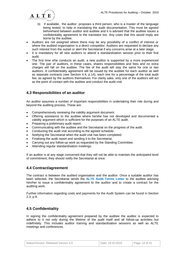

- b) if available, the auditor proposes a third person, who is a master of the language being tested, to help in translating the audit documentation. This must be agreed beforehand between auditor and auditee and it is advised that the auditee issues a confidentiality agreement to the translator too. Any costs that this would imply are borne by the auditee.
- Auditors are not assigned where there may be any possibility of a conflict of interest or where the audited organisation is a direct competitor. Auditors are requested to declare any such interest from the outset or alert the Secretariat if any concerns arise at a later stage.
- It is mandatory for all new auditors to attend a standardisation session prior to their first audit.
- The first time s/he conducts an audit, a new auditor is supported by a more experienced one. The pair of auditors, in these cases, shares responsibilities and fees and no extra charges will fall on the auditee. The fee of the audit will stay the same for one or two auditors. A confidentiality agreement will be issued by the auditee for each auditor as well as separate contracts (see Section 4.4, p.14), each one for a percentage of the total audit fee, as agreed by the auditors themselves. For clarity sake, only one of the auditors will act as the point of contact with the auditee and conduct the audit visit

## **4.3 Responsibilities of an auditor**

An auditor assumes a number of important responsibilities in undertaking their role during and beyond the auditing process. These are:

- Comprehensively reviewing the validity argument document.
- Offering assistance to the auditee where he/she has not developed and documented a validity argument which is sufficient for the purposes of an ALTE audit.
- Preparing a preliminary audit report.
- Communicating with the auditee and the Secretariat on the progress of the audit.
- Conducting the audit visit according to the agreed schedule.
- Notifying the Secretariat when the audit visit has been completed.
- Finalising the audit report and sending it to the Secretariat.
- Carrying out any follow-up work as requested by the Standing Committee.
- Attending regular standardisation meetings.

If an auditor is at any stage concerned that they will not be able to maintain the anticipated level of commitment, they should notify the Secretariat at once.

## **4.4 Contract/agreement**

The contract is between the audited organisation and the auditor. Once a suitable auditor has been selected, the Secretariat sends the **ALTE Audit Terms Letter** to the auditee advising him/her to issue a confidentiality agreement to the auditor and to create a contract for the auditing work.

Further information regarding costs and payments for the Audit System can be found in Section 2.3, p.9.

## **4.5 Confidentiality**

In signing the confidentiality agreement prepared by the auditee the auditor is expected to adhere to it not only during the lifetime of the audit itself and all follow-up activities but indefinitely. This includes auditor training and standardisation sessions as well as ALTE meetings and conferences.

| Status/Version: Released Version 5.0 | Date: 18.10.2019 | Page: 14 of 41 |
|--------------------------------------|------------------|----------------|
|--------------------------------------|------------------|----------------|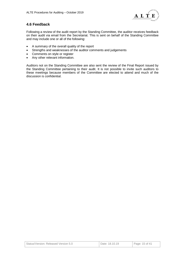

# **4.6 Feedback**

Following a review of the audit report by the Standing Committee, the auditor receives feedback on their audit via email from the Secretariat. This is sent on behalf of the Standing Committee and may include one or all of the following:

- A summary of the overall quality of the report
- Strengths and weaknesses of the auditor comments and judgements
- Comments on style or register
- Any other relevant information.

Auditors not on the Standing Committee are also sent the review of the Final Report issued by the Standing Committee pertaining to their audit. It is not possible to invite such auditors to these meetings because members of the Committee are elected to attend and much of the discussion is confidential.

| Status/Version: Released Version 5.0 | Date: 18.10.19 | $\vert$ Page: 15 of 41 |
|--------------------------------------|----------------|------------------------|
|--------------------------------------|----------------|------------------------|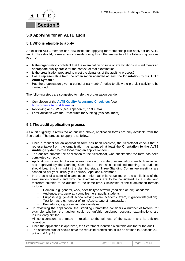

# **5.0 Applying for an ALTE audit**

# **5.1 Who is eligible to apply**

An existing ALTE member or a new institution applying for membership can apply for an ALTE audit. They should, however, only consider doing this if the answer to all the following questions is YES:

- Is the organisation confident that the examination or suite of examinations in mind meets an appropriate quality profile for the context of that examination?
- Is the organisation prepared to meet the demands of the auditing process?
- Has a representative from the organisation attended at least the **Orientation to the ALTE Audit System**?
- Has the organisation given a period of six months' notice to allow the pre-visit activity to be carried out?

The following steps are suggested to help the organisation decide:

- Completion of the **ALTE Quality Assurance Checklists** (see: [https://www.alte.org/Materials\)](https://www.alte.org/Materials)
- Reviewing all 17 MSs (see Appendix 2, pp.33 34).
- Familiarisation with the Procedures for Auditing (this document).

# **5.2 The audit application process**

As audit eligibility is restricted as outlined above, application forms are only available from the Secretariat. The process to apply is as follows:

- Once a request for an application form has been received, the Secretariat checks that a representative from the organisation has attended at least the **Orientation to the ALTE Auditing System** before forwarding an application form.
- The auditee submits the application to the Secretariat, who checks that the form has been completed correctly.
- Applications for audits of a single examination or a suite of examinations are both reviewed and approved by the Standing Committee at the next scheduled meeting, so auditees should bear this in mind in the planning stage. Three Standing Committee meetings are scheduled per year, usually in February, April and November.
- In the case of a suite of examinations, information is requested on the similarities of the examination formats and why the examinations are to be considered as a suite, and therefore suitable to be audited at the same time. Similarities of the examination formats include:
	- Domain, e.g. general, work, specific type of work (medicine or law), academic;
	- Audience, e.g. general, young learners, pupils, students;
	- Purpose, e.g. general, school leaving exam, academic exam, migration/integration;
	- Test format, e.g. number of items/tasks, type of items/tasks ;
	- Procedures, e.g.pretesting, data analysis;
- In reviewing the application, the Standing Committee considers a number of factors, for example whether the auditor could be unfairly burdened because examinations are insufficiently similar. All considerations are made in relation to the fairness of the system and its efficient

operation.

- Once the application is approved, the Secretariat identifies a suitable auditor for the audit.
- The selected auditor should have the requisite professional skills as defined in Sections 2.1, p.9 and 4.1, p.13.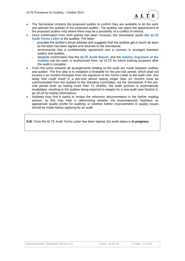

- The Secretariat contacts the proposed auditor to confirm they are available to do the work and advises the auditee of the proposed auditor. The auditee can reject the appointment of the proposed auditor only where there may be a possibility of a conflict of interest.
- Once confirmation from both parties has been received, the Secretariat sends the **ALTE Audit Terms Letter** to the auditee. The letter:
	- provides the auditor's email address and suggests that the auditee get in touch as soon as the letter has been signed and returned to the Secretariat;
	- recommends that a confidentiality agreement and a contract is arranged between auditor and auditee;
	- requests confirmation that the **ALTE Audit Report**, and the **Validity Argument of the Auditee** can be used, in anonymised form, by ALTE for future training purposes after the audit is complete.
- From this point onwards all arrangements relating to the audit are made between auditee and auditor. The first step is to establish a timetable for the pre-visit period, which shall not exceed a six months timespan from the signature of the Terms Letter to the audit visit. Any delay that could result in a pre-visit period lasting longer than six months must be communicated from the auditee to the Standing Committee, via the Secretariat. If the previsit period ends up lasting more than 12 months, the audit process is automatically invalidated, resulting in the auditee being required to reapply for a new audit (see Section 6, pp.19-20 for further information).
- Auditees may find it useful to review the reference documentation in the further reading section, as this may help in determining whether the examination(s) has/have an appropriate quality profile for auditing, or whether further improvements to quality issues should be made before applying for an audit.

**N.B**. Once the ALTE Audit Terms Letter has been signed, the audit status is *In progress.*

| Status/Version: Released Version 5.0 | Date: 18.10.19 | Page: 17 of 41 |
|--------------------------------------|----------------|----------------|
|--------------------------------------|----------------|----------------|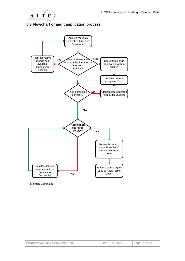

# **5.3 Flowchart of audit application process**



\* Standing Committee

| Status/Version: Released Version 5.0 | Date: 18.10.2019 | Page: 18 of 41 |
|--------------------------------------|------------------|----------------|
|--------------------------------------|------------------|----------------|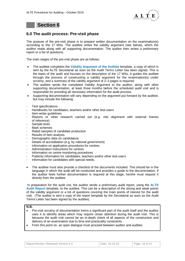

# **Section 6**

# **6.0 The audit process: Pre-visit phase**

The purpose of the pre-visit phase is to prepare written documentation on the examination(s) according to the 17 MSs. The auditee writes the validity argument (see below), which the auditor reads along with all supporting documentation. The auditor then writes a preliminary report or a list of questions.

The main stages of the pre-visit phase are as follows:

- The auditee completes the **Validity Argument of the Auditee** template, a copy of which is sent by the ALTE Secretariat as soon as the Audit Terms Letter has been signed**.** This is the basis of the audit and focuses on the description of the 17 MSs. It guides the auditee through the process of constructing a validity argument for the examination(s) under scrutiny, and a summary of the validity argument of 2–3 pages is required.
- The auditee sends the completed Validity Argument to the auditor, along with other supporting documentation, at least three months before the scheduled audit visit and is responsible for providing all necessary information for the audit process.
- Supporting documentation will vary depending on the argument put forward by the auditee, but may include the following:
- Test specifications
- Handbooks for candidates, teachers and/or other test-users
- Item-writer guidelines
- Reports or other research carried out (e.g. into alignment with external frames of reference)
- Sample tests
- Mark schemes
- Rated samples of candidate production
- Results of item analysis
- Demographic data on candidature
- Details of accreditation (e.g. by national government)
- Information on application procedures for centres
- Administration instructions for centres
- Information on centre monitoring procedures
- Publicity information for candidates, teachers and/or other test-users
- Information for candidates with special needs.
- The auditee must also provide a checklist of the documents included. This should be in the language in which the audit will be conducted and provides a guide to the documentation. If the auditor feels further documentation is required at this stage, he/she must request it directly from the auditee.

In preparation for the audit vist, the auditor sends a preliminary audit report, using the **ALTE Audit Report** template, to the auditee. This can be a description of the strong and weak points of the validity argument or a list of questions covering the main points of interest for the audit visit. (The auditor is sent a copy of the report template by the Secretariat as soon as the Audit Terms Letter has been signed by the auditee).

#### **N.B.**

- Pre-visit scrutiny of documentation forms a significant part of the audit itself and the auditor uses it to identify areas which may require closer attention during the audit visit. This is because the audit visit cannot be an in-depth check of all aspects of the construction and delivery of an examination due to time and practicality constraints.
- From this point on, an open dialogue must proceed between auditor and auditee.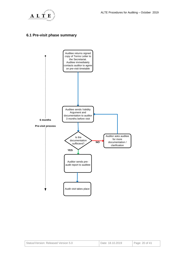

# **6.1 Pre-visit phase summary**



| Status/Version: Released Version 5.0 | Date: 18.10.2019 | Page: 20 of 41 |
|--------------------------------------|------------------|----------------|
|--------------------------------------|------------------|----------------|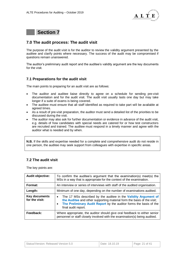



# **7.0 The audit process: The audit visit**

The purpose of the audit visit is for the auditor to review the validity argument presented by the auditee and clarify points where necessary. The success of the audit may be compromised if questions remain unanswered.

The auditor's preliminary audit report and the auditee's validity argument are the key documents for the visit.

## **7.1 Preparations for the audit visit**

The main points to preparing for an audit visit are as follows:

- The auditor and auditee liaise directly to agree on a schedule for sending pre-visit documentation and for the audit visit. The audit visit usually lasts one day but may take longer if a suite of exams is being covered.
- The auditee must ensure that all staff identified as required to take part will be available at agreed times.
- As a result of pre-visit preparation, the auditor must send a detailed list of the priorities to be discussed during the visit.
- The auditor may also ask for further documentation or evidence in advance of the audit visit, e.g. details of how candidates with special needs are catered for or how test constructors are recruited and trained. The auditee must respond in a timely manner and agree with the auditor what is needed and by when.

**N.B.** If the skills and expertise needed for a complete and comprehensive audit do not reside in one person, the auditee may seek support from colleagues with expertise in specific areas.

# **7.2 The audit visit**

The key points are:

| Audit objective:                | To confirm the auditee's argument that the examination(s) meet(s) the<br>MSs in a way that is appropriate for the context of the examination.                                                                                                                    |
|---------------------------------|------------------------------------------------------------------------------------------------------------------------------------------------------------------------------------------------------------------------------------------------------------------|
| Format:                         | An interview or series of interviews with staff of the audited organisation.                                                                                                                                                                                     |
| Length:                         | Minimum of one day, depending on the number of examinations audited.                                                                                                                                                                                             |
| Key documents<br>for the visit: | The 17 MSs described by the auditee in the Validity Argument of<br>$\bullet$<br>the Auditee and other supporting material form the basis of the visit;<br>The Preliminary Audit Report by the auditor forms the basis of the<br>$\bullet$<br>final audit report. |
| Feedback:                       | Where appropriate, the auditor should give oral feedback to either senior<br>personnel or staff closely involved with the examination(s) being audited.                                                                                                          |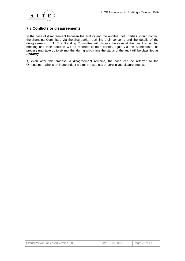

# **7.3 Conflicts or disagreements**

In the case of disagreement between the auditor and the auditee, both parties should contact the Standing Committee via the Secretariat, outlining their concerns and the details of the disagreement in full. The Standing Committee will discuss the case at their next scheduled meeting and their decision will be reported to both parties, again via the Secretariat. The process may take up to six months, during which time the status of the audit will be classified as *Pending*.

If, even after this process, a disagreement remains, the case can be referred to the Ombudsman who is an independent arbiter in instances of unresolved disagreements.

| Status/Version: Released Version 5.0 | Date: 18.10.2019 | Page: 22 of 41 |
|--------------------------------------|------------------|----------------|
|--------------------------------------|------------------|----------------|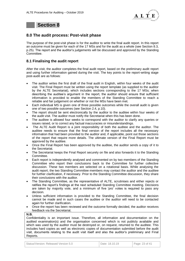



# **8.0 The audit process: Post-visit phase**

The purpose of the post-visit phase is for the auditor to write the final audit report. In this report an outcome must be given for each of the 17 MSs and for the audit as a whole (see Section 8.3, p.25). The report and the auditor's judgements will be discussed and approved by the Standing Committee.

### **8.1 Finalising the audit report**

After the visit, the auditor completes the final audit report, based on the preliminary audit report and using further information gained during the visit. The key points to the report-writing stage post-audit are as follows:

- The auditor writes the first draft of the final audit in English, within four weeks of the audit visit. The Final Report must be written using the report template (as supplied to the auditor by the ALTE Secretariat), which includes sections corresponding to the 17 MSs; when describing the auditee's argument in the report, the auditor should ensure that sufficient information is provided to enable the members of the Standing Committee to reach a reliable and fair judgement on whether or not the MSs have been met.
- Each individual MS is given one of three possible outcomes while the overall audit is given one of two possible outcomes (see Section 2.4, p.10).
- The report should be sent electronically by the auditor to the auditee within four weeks of the audit visit. The auditor must notify the Secretariat when this has been done.
- The auditee is allowed four weeks to correspond with the auditor to clarify any queries or issues raised, or to correct any factual inaccuracies or misunderstandings.
- The ALTE Audit Report is a joint responsibility of both the auditee and the auditor. The auditee needs to ensure that the final version of the report includes all the necessary information that had been provided to the auditor and, if applicable, point out those sections of the report that require more details. The ultimate version of the Final Report must be approved by the auditee.
- Once the Final Report has been approved by the auditee, the auditor sends a copy of it to the Secretariat.
- The Secretariat keeps the Final Report securely on file and also forwards it to the Standing Committee.
- Each report is independently analysed and commented on by two members of the Standing Committee who report their conclusions back to the Committee for further collective discussion. These two members are selected on a rotational basis. While analysing the audit report, the two Standing Committee members may contact the auditor and the auditee for further clarification, if necessary. Prior to the Standing Committee discussion, they share their conclusions with the auditor.
- The Standing Committee, as the representative of ALTE, scrutinises and either rejects or ratifies the report's findings at the next scheduled Standing Committee meeting. Decisions are taken by majority vote, and a minimum of five 'pro' votes is required to pass any decision.
- Unless sufficient information is provided to the Standing Committee, the final decision cannot be made and in such cases the auditee or the auditor will need to be contacted again for further clarification.
- Once the report has been reviewed and the outcome formally decided, the auditor receives feedback via the Secretariat.

#### **N.B.**

Confidentiality is an important issue. Therefore, all information and documentation on the audited examination(s) and the organisation concerned which is not publicly available and which was used by the auditor must be destroyed or, on request, returned to the auditee. This includes hard copies as well as electronic copies of documentation submitted before the audit visit, documents relating to the audit visit itself and also the auditor's preliminary and Final Reports.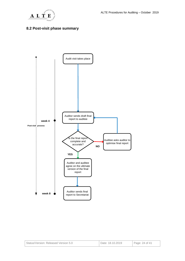

# **8.2 Post-visit phase summary**



| Status/Version: Released Version 5.0 | Date: 18.10.2019 | $\vert$ Page: 24 of 41 |
|--------------------------------------|------------------|------------------------|
|--------------------------------------|------------------|------------------------|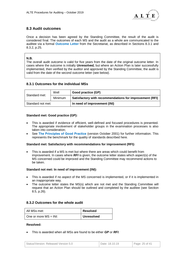

# **8.3 Audit outcomes**

Once a decision has been agreed by the Standing Committee, the result of the audit is considered final. The outcomes of each MS and the audit as a whole are communicated to the auditee via a formal **Outcome Letter** from the Secretariat, as described in Sections 8.3.1 and 8.3.2, p.25.

### **N.B.**

The overall audit outcome is valid for five years from the date of the original outcome letter. In cases where the outcome is initially *Unresolved,* but where an Action Plan is later successfully implemented, then verified by the auditor and approved by the Standing Committee, the audit is valid from the date of the second outcome letter (see below).

### **8.3.1 Outcomes for the individual MSs**

| Standard met:     | Well    | Good practice (GP)<br>Satisfactory with recommendations for improvement (RFI) |  |
|-------------------|---------|-------------------------------------------------------------------------------|--|
|                   | Minimum |                                                                               |  |
| Standard not met: |         | In need of improvement (INI)                                                  |  |

### **Standard met: Good practice (GP):**

- This is awarded if evidence of efficient, well-defined and focused procedures is presented. The appropriate involvement of stakeholder groups in the examination processes is also taken into consideration;
- See **The Principles of Good Practice** (version October 2001) for further information. This represents the benchmark for the quality of standards described here.

### **Standard met: Satisfactory with recommendations for improvement (RFI):**

 This is awarded if a MS is met but where there are areas which could benefit from improvement. In cases where *RFI* is given, the outcome letter states which aspect(s) of the MS concerned could be improved and the Standing Committee may recommend actions to be taken.

### **Standard not met: In need of improvement (INI):**

- This is awarded if no aspect of the MS concerned is implemented, or if it is implemented in an inappropriate way.
- The outcome letter states the MS(s) which are not met and the Standing Committee will request that an Action Plan should be outlined and completed by the auditee (see Section 8.5, p.26).

### **8.3.2 Outcomes for the whole audit**

| All MSs met:             | <b>Resolved</b>   |
|--------------------------|-------------------|
| One or more $MS = INI$ : | <b>Unresolved</b> |

### **Resolved:**

This is awarded when all MSs are found to be either *GP* or *RFI*.

| Status/Version: Released Version 5.0 | Date: 18.10.19 | Page: 25 of 41 |
|--------------------------------------|----------------|----------------|
|--------------------------------------|----------------|----------------|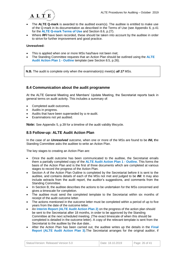

- The **ALTE Q-mark** is awarded to the audited exam(s). The auditee is entitled to make use of the Q-mark in its documentation as described in the Terms of Use (see Appendix 6, p.41 for the **ALTE Q-mark Terms of Use** and Section 8.6, p.27).
- Where *RFI* have been recorded, these should be taken into account by the auditee in order to strive for further improvement and good practice.

### **Unresolved:**

- This is applied when one or more MSs has/have not been met;
- The Standing Committee requests that an Action Plan should be outlined using the **ALTE Audit Action Plan 1 - Outline** template (see Section 8.5, p.26).

**N.B.** The audit is complete only when the examination(s) meet(s) *all 17* MSs.

## **8.4 Communication about the audit programme**

At the ALTE General Meeting and Members' Update Meeting, the Secretariat reports back in general terms on audit activity. This includes a summary of:

- Completed audit outcomes.
- Audits in progress.
- Audits that have been superseded by a re-audit.
- Examinations not yet audited.

**Note:** See Appendix 5, p.39 for a timeline of the audit validity lifecycle.

## **8.5 Follow-up: ALTE Audit Action Plan**

In the case of an *Unresolved* outcome, when one or more of the MSs are found to be *INI***, t**he Standing Committee asks the auditee to write an Action Plan.

The key stages to creating an Action Plan are:

- Once the audit outcome has been communicated to the auditee, the Secretariat emails them a partially completed copy of the **ALTE Audit Action Plan 1 - Outline.** This forms the basis of the Action Plan and is the first of three documents which are completed at various stages to record the progress of the Action Plan.
- Section A of the Action Plan Outline is completed by the Secretariat before it is sent to the auditee, and contains details of each of the MSs not met and judged to be *INI*. It may also include extracts from the audit report, the auditor's suggestions, and comments from the Standing Committee.
- In Section B, the auditee describes the actions to be undertaken for the MSs concerned and gives a timescale for completion.
- The auditee must send the completed template to the Secretariat within six months of receipt of the audit outcome letter.
- The actions mentioned in the outcome letter must be completed within a period of up to five years from the date of the outcome letter.
- An **Interim Report (ALTE Audit Action Plan 2)** on the progress of the action plan should be sent to the Secretariat after 18 months, in order to be approved by the Standing Committee at the next scheduled meeting. (The exact timescale of when this should be completed is detailed in the outcome letter). A copy of the relevant template is sent from the Secretariat to the auditee by the due date..
- After the Action Plan has been carried out, the auditee writes up the details in the **Final Report (ALTE Audit Action Plan 3)**.The Secretariat arranges for the original auditor, if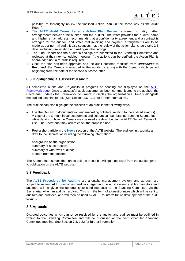

possible, to thoroughly review the finalised Action Plan (in the same way as the Audit Report).

- The **ALTE Audit Terms Letter - Action Plan Review** is issued to ratify further arrangements between the auditee and the auditor. The letter provides the auditor name and his/her email address, recommends that a confidentiality agreement and a contract is arranged for the auditor and states that invoicing and payment arrangements are to be made as per normal audit. It also suggests that the review of the action plan should take 2-3 days, including preparation and writing-up the findings.
- The Final Report and the auditor's findings are submitted to the Standing Committee and reviewed at their next scheduled meeting. If the actions can be verified, the Action Plan is approved; if not, a re-audit is required.
- Once the plan has been approved and the audit outcome modified from *Unresolved* to **Resolved**, the Q-mark is awarded to the audited exam(s) with the 5-year validity period beginning from the date of the second outcome letter.

## **8.6 Highlighting a successful audit**

All completed audits and (re-)audits in progress or pending are displayed on the [ALTE](https://www.alte.org/resources/Documents/2018-05-15%20ALTE%20Framework%20v24.pdf)  [Framework page.](https://www.alte.org/resources/Documents/2018-05-15%20ALTE%20Framework%20v24.pdf) Once a successful audit outcome has been communicated to the auditee, the Secretariat updates the Framework document to display the organisation's Q-mark alongside the audited examination(s). (See Section 2.6, p.11 for further information).

The auditee can also highlight the success of an audit in the following ways:

- Use the Q-mark in documentation and marketing collateral relating to the audited exam(s). A copy of the Q-mark in various formats and colours can be obtained from the Secretariat, while details on how the Q-mark may be used are described in the ALTE Q-mark Terms of Use. The Secretariat may ask to check the proposed use.
- Post a short article in the **News** section of the ALTE website. The auditee first submits a draft to the Secretariat including the following information:
- background on the organisation;
- summary of audit process;
- summary of what was audited;
- a quote from the auditee.

The Secretariat reserves the right to edit the article but will gain approval from the auditee prior to publication on the ALTE website.

### **8.7 Feedback**

The **ALTE Procedures for Auditing** are a quality management system, and as such are subject to review. ALTE welcomes feedback regarding the audit system and both auditors and auditees will be given the opportunity to send feedback to the Standing Committee via the Secretariat, when an audit is resolved. This is in the form of a questionnaire which will be sent to auditors and auditees, and will then be used by ALTE to inform future development of the audit system.

### **8.8 Appeals**

Disputed outcomes which cannot be resolved by the auditor and auditee must be outlined in writing to the Standing Committee and will be discussed at the next scheduled Standing Committee meeting. See Section 7.3, p.22 for further information.

| Status/Version: Released Version 5.0 | Date: 18.10.19 | $\vert$ Page: 27 of 41 |
|--------------------------------------|----------------|------------------------|
|--------------------------------------|----------------|------------------------|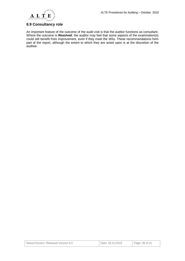

# **8.9 Consultancy role**

An important feature of the outcome of the audit visit is that the auditor functions as consultant. Where the outcome is *Resolved*, the auditor may feel that some aspects of the examination(s) could still benefit from improvement, even if they meet the MSs. These recommendations form part of the report, although the extent to which they are acted upon is at the discretion of the auditee.

| Status/Version: Released Version 5.0 | Date: 18.10.2019 | Page: 28 of 41 |
|--------------------------------------|------------------|----------------|
|--------------------------------------|------------------|----------------|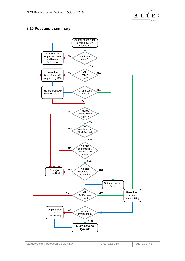

# **8.10 Post audit summary**

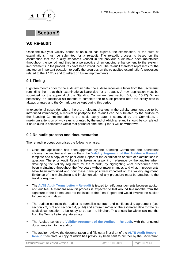

# **Section 9**

# **9.0 Re-audit**

Once the five-year validity period of an audit has expired, the examination, or the suite of examinations, must be submitted for a re-audit. The re-audit process is based on the assumption that the quality standards verified in the previous audit have been maintained throughout the period and that, in a perspective of an ongoing enhancement to the system, improvements in the procedures have been introduced. The re-audit therefore represents for the auditee an important occasion to verify the progress on the re-audited examination's processes related to the 17 MSs and to reflect on future improvements.

## **9.1 Timing**

Eighteen months prior to the audit expiry date, the auditee receives a letter from the Secretariat reminding them that their examination/s is/are due for a re-audit. A new application must be submitted for the approval of the Standing Committee (see section 5.2, pp 16-17). When necessary, an additional six months to complete the re-audit process after the expiry date is always granted and the Q-mark can be kept during this period.

In exceptional cases (ie. where there are relevant changes in the validity argument due to be introduced imminently), a request to postpone the re-audit can be submitted by the auditee to the Standing Committee prior to the audit expiry date. If approved by the Committee, a maximum extension of two years is granted by the end of which a re-audit should be completed. If no re-audit is completed within that period of time, the Q-mark will be withdrawn.

## **9.2 Re-audit process and documentation**

The re-audit process comprises the following phases:

- Once the application has been approved by the Standing Committee, the Secretariat informs the auditee and sends them the **Validity Argument of the Auditee – Re-audit** template and a copy of the prior Audit Report of the examination or suite of examinations in question. The prior Audit Report is taken as a point of reference by the auditee when developing the Validity Argument for the re-audit, by highlighting what procedures have been maintained throughout the five years without major changes and what improvements have been introduced and how these have positively impacted on the validity argument. Evidence of the maintaining and implementation of any procedure must be attached to the Validity Argument.
- The **ALTE Audit Terms Letter – Re-audit** is issued to ratify arrangements between auditor and auditee. A standard re-audit process is expected to last around five months from the signature of the Terms Letter to the issue of the Final Report and would involve the auditor for 3–4 working days.
- The auditee contacts the auditor to formalise contract and confidentiality agreement (see section 2.3, p. 9 and section 4.4, p. 14) and advise him/her on the estimated date for the reaudit documentation to be ready to be sent to him/her. This should be within two months from the Terms Letter signature date.
- The Auditee sends the **Validity Argument of the Auditee – Re-audit**, with the annexed documentation, to the auditor.
- The auditor reviews the documentation and fills out a first draft of the **ALTE Audit Report – Re-audit** template, a copy of which has previously been sent to him/her by the Secretariat.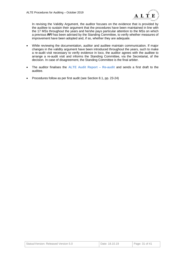

In revising the Validity Argument, the auditor focuses on the evidence that is provided by the auditee to sustain their argument that the procedures have been maintained in line with the 17 MSs throughout the years and he/she pays particular attention to the MSs on which a previous *RFI* has been advised by the Standing Committee, to verify whether measures of improvement have been adopted and, if so, whether they are adequate.

- While reviewing the documentation, auditor and auditee maintain communication. If major changes in the validity argument have been introduced throughout the years, such to make a re-audit visit necessary to verify evidence in loco, the auditor agrees with the auditee to arrange a re-audit visit and informs the Standing Committee, via the Secretariat, of the decision. In case of disagreement, the Standing Committee is the final arbiter.
- The auditor finalises the **ALTE Audit Report – Re-audit** and sends a first draft to the auditee.
- Procedures follow as per first audit (see Section 8.1, pp. 23-24)

| Status/Version: Released Version 5.0 | Date: 18.10.19 | Page: 31 of 41 |
|--------------------------------------|----------------|----------------|
|--------------------------------------|----------------|----------------|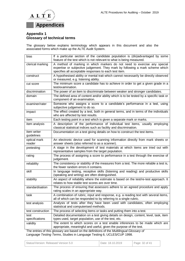

# **Appendix 1 Glossary of technical terms**

The glossary below explains terminology which appears in this document and also the associated forms which make up the ALTE Audit System.

| bias                      | If a particular section of the candidate population is (dis)advantaged by some<br>feature of the test which is not relevant to what is being measured.                                                             |
|---------------------------|--------------------------------------------------------------------------------------------------------------------------------------------------------------------------------------------------------------------|
| clerical marking          | A method of marking in which markers do not need to exercise any special<br>expertise or subjective judgement. They mark by following a mark scheme which<br>specifies all acceptable responses to each test item. |
| construct                 | A hypothesised ability or mental trait which cannot necessarily be directly observed<br>or measured, e.g. listening ability.                                                                                       |
| cut score                 | The minimum score a candidate has to achieve in order to get a given grade in a<br>test/examination.                                                                                                               |
| discrimination            | The power of an item to discriminate between weaker and stronger candidates.                                                                                                                                       |
| domain                    | The defined area of content and/or ability which is to be tested by a specific task or<br>component of an examination.                                                                                             |
| examiner/rater            | Someone who assigns a score to a candidate's performance in a test, using<br>subjective judgement to do so.                                                                                                        |
| impact                    | The effect created by a test, both in general terms, and in terms of the individuals<br>who are affected by test results.                                                                                          |
| item                      | Each testing point in a test which is given a separate mark or marks.                                                                                                                                              |
| item analysis             | A description of the performance of individual test items, usually employing<br>classical statistical indices such as facility and discrimination.                                                                 |
| item writer<br>guidelines | Documentation on a test giving details on how to construct the test items.                                                                                                                                         |
| optical mark<br>reader    | An electronic device used for scanning information directly from mark sheets or<br>answer sheets (also referred to as a scanner).                                                                                  |
| pretesting                | A stage in the development of test materials at which items are tried out with<br>representative samples from the target population.                                                                               |
| rating                    | The process of assigning a score to performance in a test through the exercise of<br>judgement.                                                                                                                    |
| reliability               | The consistency or stability of the measures from a test. The more reliable a test is,<br>the fewer random errors it contains.                                                                                     |
| skill                     | In language testing, receptive skills (listening and reading) and productive skills<br>(speaking and writing) are often distinguished.                                                                             |
| stability                 | An aspect of reliability where the estimate is based on the test/re-test approach. It<br>relates to how stable test scores are over time.                                                                          |
| standardisation           | The process of ensuring that assessors adhere to an agreed procedure and apply<br>rating scales in an appropriate way.                                                                                             |
| task                      | A combination of rubric, input and response, e.g. a reading text with several items,<br>all of which can be responded to by referring to a single rubric.                                                          |
| test analysis             | Analysis of tests after they have been used with candidates, often employing<br>statistical and computerised methods.                                                                                              |
| test construction         | The process of selecting items or tasks and putting them into a test.                                                                                                                                              |
| test<br>specifications    | Detailed documentation on a test giving details on design, content, level, task, item<br>types used, target population, use of the test, etc.                                                                      |
| validity                  | The extent to which scores on a test enable inferences to be made which are<br>appropriate, meaningful and useful, given the purpose of the test.                                                                  |

The entries of this glossary are based on the definitions of the *Multilingual Glossary of Language Testing Terms*, Studies in Language Testing 6, UCLES/CUP 1998.

| Status/Version: Released Version 5.0 | Date: 18.10.2019 | Page: 32 of 41 |
|--------------------------------------|------------------|----------------|
|--------------------------------------|------------------|----------------|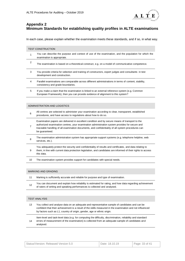

## **Appendix 2 Minimum Standards for establishing quality profiles in ALTE examinations**

In each case, please explain whether the examination meets these standards, and if so, in what way.

#### TEST CONSTRUCTION

|   | You can describe the purpose and context of use of the examination, and the population for which the<br>examination is appropriate.     |
|---|-----------------------------------------------------------------------------------------------------------------------------------------|
|   | The examination is based on a theoretical construct, e.g. on a model of communicative competence.                                       |
| 3 | You provide criteria for selection and training of constructors, expert judges and consultants in test<br>development and construction. |
| 4 | Parallel examinations are comparable across different administrations in terms of content, stability,                                   |

- consistency and grade boundaries.
- 5 If you make a claim that the examination is linked to an external reference system (e.g. Common European Framework), then you can provide evidence of alignment to this system?

#### ADMINISTRATION AND LOGISTICS

- 6 All centres are selected to administer your examination according to clear, transparent, established procedures, and have access to regulations about how to do so.
- 7 Examination papers are delivered in excellent condition and by secure means of transport to the authorized examination centres, your examination administration system provides for secure and traceable handling of all examination documents, and confidentiality of all system procedures can be guaranteed.
- 8 The examination administration system has appropriate support systems (e.g. telephone helpline, web services, etc.).
- 9 You adequately protect the security and confidentiality of results and certificates, and data relating to them, in line with current data protection legislation, and candidates are informed of their rights to access this data.
- 10 The examination system provides support for candidates with special needs.

#### MARKING AND GRADING

- 11 Marking is sufficiently accurate and reliable for purpose and type of examination.
- You can document and explain how reliability is estimated for rating, and how data regarding achievement of raters of writing and speaking performances is collected and analysed.

#### TEST ANALYSIS

13 You collect and analyse data on an adequate and representative sample of candidates and can be confident that their achievement is a result of the skills measured in the examination and not influenced by factors such as L1, country of origin, gender, age or ethnic origin.

14 Item-level and task-level data (e.g. for computing the difficulty, discrimination, reliability and standard errors of measurement of the examination) is collected from an adequate sample of candidates and analysed.

| Status/Version: Released Version 5.0 | Date: 18.10.19 | Page: 33 of 41 |
|--------------------------------------|----------------|----------------|
|--------------------------------------|----------------|----------------|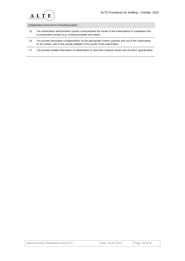

#### COMMUNICATION WITH STAKEHOLDERS

- 15 The examination administration system communicates the results of the examinations to candidates and to examination centres (e.g. schools) promptly and clearly.
- 16 You provide information to stakeholders on the appropriate context, purpose and use of the examination, on its content, and on the overall reliability of the results of the examination.
- 17 You provide suitable information to stakeholders to help them interpret results and use them appropriately.

| Status/Version: Released Version 5.0 | Date: 18.10.2019 | Page: 34 of 41 |
|--------------------------------------|------------------|----------------|
|--------------------------------------|------------------|----------------|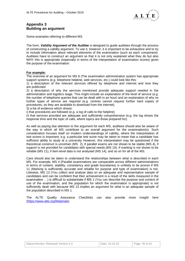

# **Appendix 3 Building an argument**

Some examples referring to different MS.

The form, *Validity Argument of the Auditee* is designed to guide auditees through the process of constructing a validity argument. To use it, however, it is important to be exhaustive and to try to include information about relevant elements of the examination (such as each component). Auditees have to construct an argument so that it is not only explained what they do but also WHY this is appropriate (especially in terms of the interpretation of examination scores) given the purpose of the examination.

### **For example:**

The overview of an argument for MS 8 (The examination administration system has appropriate support systems (e.g. telephone helpline, web services, etc.) could look like this:

1) a description of the relevant services offered by telephone and internet and how they are publicised

2) a description of why the services mentioned provide adequate support needed in the administration and logistics stage. This might include an explanation of the level of service (e.g. the number of telephone queries that can be dealt with in an hour) and an explanation of why no further types of service are required (e.g. centres cannot request further hard copies of procedures, as they are available to download from the internet).

3) a list of evidence which shows:

i) that procedures are followed (e.g. a log of calls to the helpline)

ii) that services provided are adequate and sufficiently comprehensive (e.g. the log shows the response time and the topic of calls, where topics are those prepared for).

As well as paying due attention to the argument for each MS, auditees should also be aware of the way in which all MS contribute to an overall argument for the examination(s). Such consideration focuses itself on modern understandings of validity, where the interpretation of test scores is important, e.g. a particular test score may be taken to mean that a candidate has sufficient ability to study at a university However, this interpretation may be questioned if the theoretical construct is uncertain (MS 2), if parallel exams are not shown to be stable (MS 4), if support is not provided for candidates with special needs (MS 10), if marking is not shown to be reliable (MS 11), if item-level data is not analysed (MS 14), and so on for all of the MS.

Care should also be taken to understand the relationships between what is described in each MS. For example, MS 4 (Parallel examinations are comparable across different administrations in terms of content, stability, consistency and grade boundaries) is unlikely to be proven if MS 11 (Marking is sufficiently accurate and reliable for purpose and type of examination) is not. Likewise, MS 13 (You collect and analyse data on an adequate and representative sample of candidates and can be confident that their achievement is a result of the skills measured in the examination …) is difficult to substantiate if MS 1 (You can describe the purpose and context of use of the examination, and the population for which the examination is appropriate) is not sufficiently dealt with because MS 13 implies an argument for what is an adequate sample of the population described in MS 1.

The ALTE Quality Assurance Checklists can also provide more insight here [\(https://www.alte.org/Materials\)](https://www.alte.org/Materials).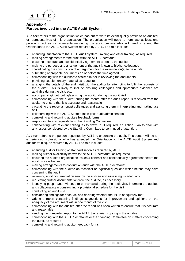

# **Appendix 4 Parties involved in the ALTE Audit System**

**Auditee:** refers to the organisation which has put forward its exam quality profile to be audited, or representatives of this organisation. The organisation will need to nominate at least one person to act as its representative during the audit process who will need to attend the Orientation to the ALTE Audit System required by ALTE. The role includes:

- attending Orientation to the ALTE Audit System Training and other training, as required
- making arrangements for the audit with the ALTE Secretariat
- ensuring a contract and confidentiality agreement is sent to the auditor
- making the purpose and arrangement of the audit known to his/her colleagues
- co-ordinating the construction of an argument for the examination(s) to be audited
- submitting appropriate documents on or before the time agreed
- corresponding with the auditor to assist him/her in reviewing the documents
- providing supplementary material as requested
- arranging the details of the audit visit with the auditor by attempting to fulfil the requests of the auditor. This is likely to include ensuring colleagues and appropriate evidence are available during the visit, etc.
- accompanying/contributing/assisting the auditor during the audit visit
- corresponding with the auditor during the month after the audit report is received from the auditor to ensure that it is accurate and reasonable
- circulating the report amongst colleagues and assisting them in interpreting and making use of it
- collaborating with the ALTE Secretariat in post-audit administration
- completing and returning auditee feedback forms
- responding to any requests from the Standing Committee
- collaborating with relevant colleagues to draw up, if required, an Action Plan to deal with any issues considered by the Standing Committee to be in need of attention.

**Auditor:** refers to the person appointed by ALTE to undertake the audit. This person will be an experienced professional who has attended the Orientation to the ALTE Audit System and auditor training, as required by ALTE. The role includes:

- attending auditor training or standardisation as required by ALTE
- making his/her availability known to the ALTE Secretariat, as requested
- ensuring the audited organisation issues a contract and confidentiality agreement before the audit process begins
- making arrangements to conduct an audit with the ALTE Secretariat
- corresponding with the auditee on technical or logistical questions which he/she may have concerning the audit
- reviewing audit documentation sent by the auditee and assessing its adequacy
- requesting further documentation from the auditee, as necessary
- identifying people and evidence to be reviewed during the audit visit, informing the auditee and collaborating in constructing a provisional schedule for the visit
- conducting an audit visit
- considering findings for each MS and deciding whether the MS is adequately met
- writing a report containing findings, suggestions for improvement and opinions on the adequacy of the argument within one month of the visit
- corresponding with the auditee after the report has been written to ensure that it is accurate and reasonable
- sending the completed report to the ALTE Secretariat, copying in the auditee
- corresponding with the ALTE Secretariat or the Standing Committee on matters concerning the audit, as required
- completing and returning auditor feedback forms.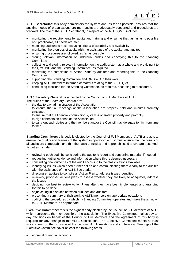

**ALTE Secretariat:** this body administers the system and, as far as possible, ensures that the auditing needs of organisations are met, audits are adequately supported and procedures are followed. The role of the ALTE Secretariat, in respect of the ALTE QMS, includes:

- monitoring the requirements for audits and training and ensuring that, as far as is possible and practicable, all needs are met
- matching auditors to auditees using criteria of suitability and availability
- monitoring the progress of audits with the assistance of the auditor and auditee
- ensuring procedures are followed, as far as possible
- storing relevant information on individual audits and conveying this to the Standing **Committee**
- collecting and storing relevant information on the audit system as a whole and providing it to the QMS WG and the Standing Committee, as required
- monitoring the completion of Action Plans by auditees and reporting this to the Standing **Committee**
- supporting the Standing Committee and QMS WG in their work
- keeping ALTE members informed of matters relating to the ALTE QMS
- conducting elections for the Standing Committee, as required, according to procedures.

### **ALTE Secretary-General**: is appointed by the Council of Full Members of ALTE.

The duties of the Secretary-General are:

- the day to day administration of the Association
- to ensure that all meetings of the Association are properly held and minutes promptly circulated
- to ensure that the financial contribution system is operated properly and promptly
- to sign contracts on behalf of the Association
- to carry out such duties and the members and/or the Council may delegate to him from time to time.

**Standing Committee:** this body is elected by the Council of Full Members of ALTE and acts to ensure the quality and fairness of the system in operation; e.g., it must ensure that the results of all audits are comparable and that the basic principles and approach listed above are observed. Its duties include:

- reviewing each audit by considering the auditor's report and supporting material, if needed
- requesting further evidence and information where this is deemed necessary
- concluding final outcomes of the audit according to the classifications available
- identifying issues which need further action and communicating them clearly to the auditee with the assistance of the ALTE Secretariat
- directing an auditee to compile an Action Plan to address issues identified
- reviewing proposed actions plans to assess whether they are likely to adequately address the issues
- deciding how best to review Action Plans after they have been implemented and arranging for this to be done
- adjudicating in disputes between auditees and auditors
- presenting a summary of their work to ALTE members on appropriate occasions
- codifying the procedures by which it (Standing Committee) operates and make these known to ALTE Members, as appropriate.

**Executive Committee:** this is the highest body elected by the Council of Full Members of ALTE which represents the membership of the association. The Executive Committee makes day-today decisions on behalf of the Council of Full Members and the agreement of this body is required for any change in the ALTE Constitution. The Executive Committee meets at least twice a year on the occasion of the biannual ALTE meetings and conference. Meetings of the Executive Committee cover at least the following areas:

#### approval of annual accounts

| Status/Version: Released Version 5.0 | Date: 18.10.19 | $\vert$ Page: 37 of 41 |
|--------------------------------------|----------------|------------------------|
|--------------------------------------|----------------|------------------------|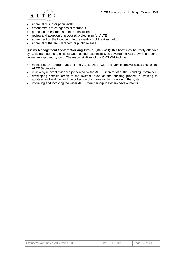

- approval of subscription levels
- amendments to categories of members
- proposed amendments to the Constitution
- review and adoption of proposed project plan for ALTE
- agreement on the location of future meetings of the Association
- approval of the annual report for public release.

**Quality Management System Working Group (QMS WG):** this body may be freely attended by ALTE members and affiliates and has the responsibility to develop the ALTE QMS in order to deliver an improved system. The responsibilities of the QMS WG include:

- monitoring the performance of the ALTE QMS, with the administrative assistance of the ALTE Secretariat
- reviewing relevant evidence presented by the ALTE Secretariat or the Standing Committee
- developing specific areas of the system, such as the auditing procedure, training for auditees and auditors and the collection of information for monitoring the system
- informing and involving the wider ALTE membership in system developments.

| Status/Version: Released Version 5.0 | Date: 18.10.2019 | Page: 38 of 41 |
|--------------------------------------|------------------|----------------|
|--------------------------------------|------------------|----------------|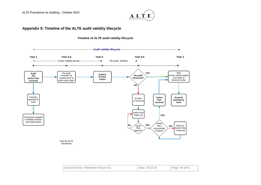

# **Appendix 5: Timeline of the ALTE audit validity lifecycle**





| Status/Version: Released Version 5.0 | Date: 18.10.19 | Page: 39 of 41 |
|--------------------------------------|----------------|----------------|
|--------------------------------------|----------------|----------------|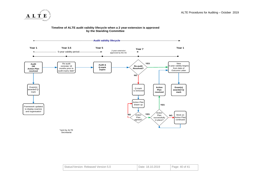



#### **Timeline of ALTE audit validity lifecycle when a 2 year-extension is approved by the Standing Committee**

| Date: 18.10.2019<br>Status/Version: Released Version 5.0 | Page: 40 of 41 |
|----------------------------------------------------------|----------------|
|----------------------------------------------------------|----------------|